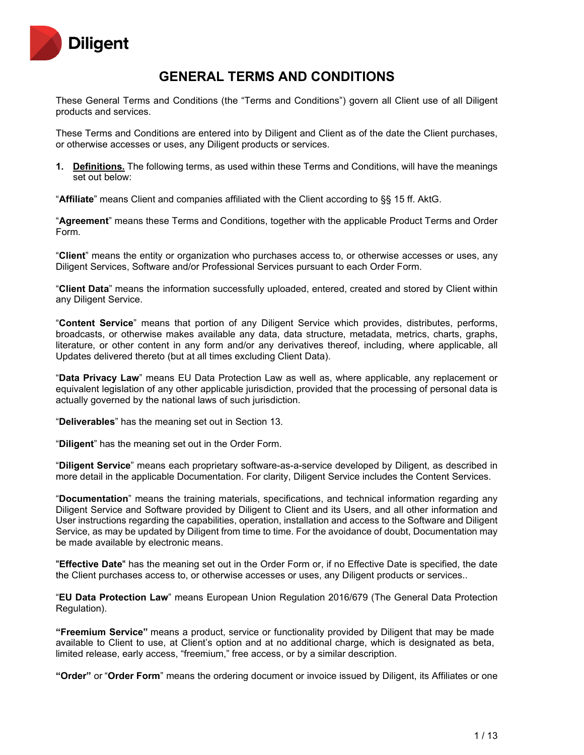

# **GENERAL TERMS AND CONDITIONS**

These General Terms and Conditions (the "Terms and Conditions") govern all Client use of all Diligent products and services.

These Terms and Conditions are entered into by Diligent and Client as of the date the Client purchases, or otherwise accesses or uses, any Diligent products or services.

**1. Definitions.** The following terms, as used within these Terms and Conditions, will have the meanings set out below:

"**Affiliate**" means Client and companies affiliated with the Client according to §§ 15 ff. AktG.

"**Agreement**" means these Terms and Conditions, together with the applicable Product Terms and Order Form.

"**Client**" means the entity or organization who purchases access to, or otherwise accesses or uses, any Diligent Services, Software and/or Professional Services pursuant to each Order Form.

"**Client Data**" means the information successfully uploaded, entered, created and stored by Client within any Diligent Service.

"**Content Service**" means that portion of any Diligent Service which provides, distributes, performs, broadcasts, or otherwise makes available any data, data structure, metadata, metrics, charts, graphs, literature, or other content in any form and/or any derivatives thereof, including, where applicable, all Updates delivered thereto (but at all times excluding Client Data).

"**Data Privacy Law**" means EU Data Protection Law as well as, where applicable, any replacement or equivalent legislation of any other applicable jurisdiction, provided that the processing of personal data is actually governed by the national laws of such jurisdiction.

"**Deliverables**" has the meaning set out in Section 13.

"**Diligent**" has the meaning set out in the Order Form.

"**Diligent Service**" means each proprietary software-as-a-service developed by Diligent, as described in more detail in the applicable Documentation. For clarity, Diligent Service includes the Content Services.

"**Documentation**" means the training materials, specifications, and technical information regarding any Diligent Service and Software provided by Diligent to Client and its Users, and all other information and User instructions regarding the capabilities, operation, installation and access to the Software and Diligent Service, as may be updated by Diligent from time to time. For the avoidance of doubt, Documentation may be made available by electronic means.

"**Effective Date**" has the meaning set out in the Order Form or, if no Effective Date is specified, the date the Client purchases access to, or otherwise accesses or uses, any Diligent products or services..

"**EU Data Protection Law**" means European Union Regulation 2016/679 (The General Data Protection Regulation).

**"Freemium Service"** means a product, service or functionality provided by Diligent that may be made available to Client to use, at Client's option and at no additional charge, which is designated as beta, limited release, early access, "freemium," free access, or by a similar description.

**"Order"** or "**Order Form**" means the ordering document or invoice issued by Diligent, its Affiliates or one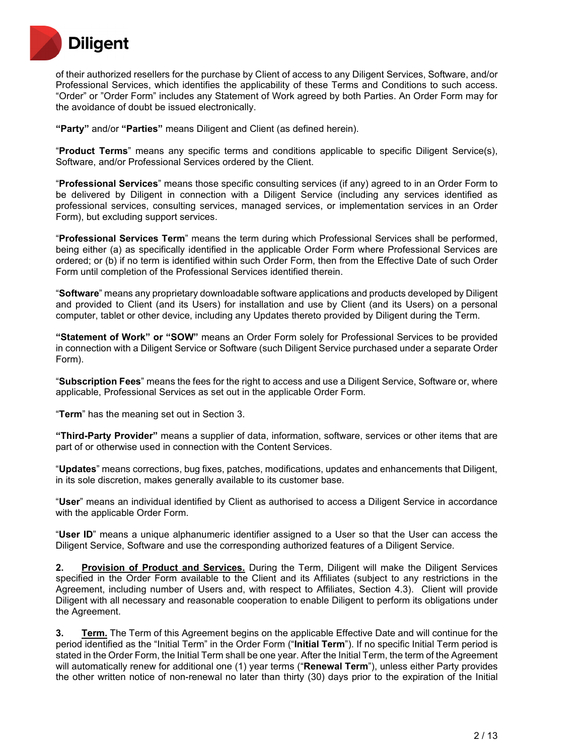

of their authorized resellers for the purchase by Client of access to any Diligent Services, Software, and/or Professional Services, which identifies the applicability of these Terms and Conditions to such access. "Order" or "Order Form" includes any Statement of Work agreed by both Parties. An Order Form may for the avoidance of doubt be issued electronically.

**"Party"** and/or **"Parties"** means Diligent and Client (as defined herein).

"**Product Terms**" means any specific terms and conditions applicable to specific Diligent Service(s), Software, and/or Professional Services ordered by the Client.

"**Professional Services**" means those specific consulting services (if any) agreed to in an Order Form to be delivered by Diligent in connection with a Diligent Service (including any services identified as professional services, consulting services, managed services, or implementation services in an Order Form), but excluding support services.

"**Professional Services Term**" means the term during which Professional Services shall be performed, being either (a) as specifically identified in the applicable Order Form where Professional Services are ordered; or (b) if no term is identified within such Order Form, then from the Effective Date of such Order Form until completion of the Professional Services identified therein.

"**Software**" means any proprietary downloadable software applications and products developed by Diligent and provided to Client (and its Users) for installation and use by Client (and its Users) on a personal computer, tablet or other device, including any Updates thereto provided by Diligent during the Term.

**"Statement of Work" or "SOW"** means an Order Form solely for Professional Services to be provided in connection with a Diligent Service or Software (such Diligent Service purchased under a separate Order Form).

"**Subscription Fees**" means the fees for the right to access and use a Diligent Service, Software or, where applicable, Professional Services as set out in the applicable Order Form.

"**Term**" has the meaning set out in Section 3.

**"Third-Party Provider"** means a supplier of data, information, software, services or other items that are part of or otherwise used in connection with the Content Services.

"**Updates**" means corrections, bug fixes, patches, modifications, updates and enhancements that Diligent, in its sole discretion, makes generally available to its customer base.

"**User**" means an individual identified by Client as authorised to access a Diligent Service in accordance with the applicable Order Form.

"**User ID**" means a unique alphanumeric identifier assigned to a User so that the User can access the Diligent Service, Software and use the corresponding authorized features of a Diligent Service.

**2. Provision of Product and Services.** During the Term, Diligent will make the Diligent Services specified in the Order Form available to the Client and its Affiliates (subject to any restrictions in the Agreement, including number of Users and, with respect to Affiliates, Section 4.3). Client will provide Diligent with all necessary and reasonable cooperation to enable Diligent to perform its obligations under the Agreement.

**3. Term.** The Term of this Agreement begins on the applicable Effective Date and will continue for the period identified as the "Initial Term" in the Order Form ("**Initial Term**"). If no specific Initial Term period is stated in the Order Form, the Initial Term shall be one year. After the Initial Term, the term of the Agreement will automatically renew for additional one (1) year terms ("**Renewal Term**"), unless either Party provides the other written notice of non-renewal no later than thirty (30) days prior to the expiration of the Initial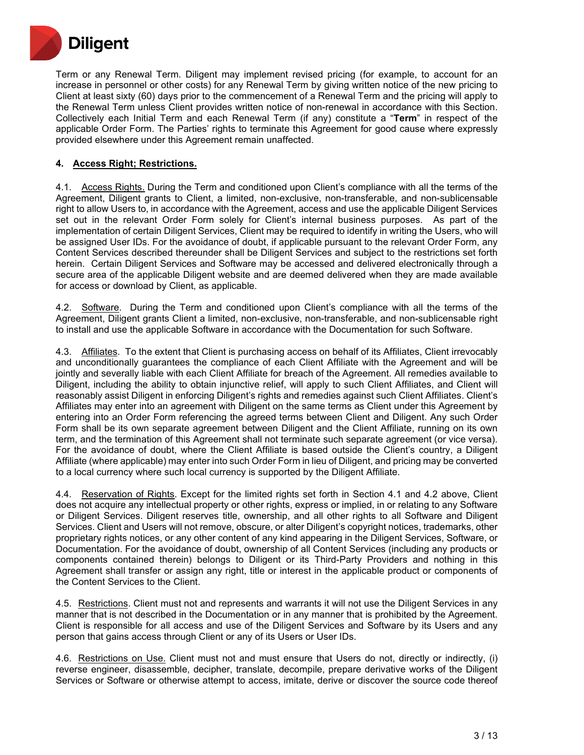

Term or any Renewal Term. Diligent may implement revised pricing (for example, to account for an increase in personnel or other costs) for any Renewal Term by giving written notice of the new pricing to Client at least sixty (60) days prior to the commencement of a Renewal Term and the pricing will apply to the Renewal Term unless Client provides written notice of non-renewal in accordance with this Section. Collectively each Initial Term and each Renewal Term (if any) constitute a "**Term**" in respect of the applicable Order Form. The Parties' rights to terminate this Agreement for good cause where expressly provided elsewhere under this Agreement remain unaffected.

## **4. Access Right; Restrictions.**

4.1. Access Rights. During the Term and conditioned upon Client's compliance with all the terms of the Agreement, Diligent grants to Client, a limited, non-exclusive, non-transferable, and non-sublicensable right to allow Users to, in accordance with the Agreement, access and use the applicable Diligent Services set out in the relevant Order Form solely for Client's internal business purposes. As part of the implementation of certain Diligent Services, Client may be required to identify in writing the Users, who will be assigned User IDs. For the avoidance of doubt, if applicable pursuant to the relevant Order Form, any Content Services described thereunder shall be Diligent Services and subject to the restrictions set forth herein. Certain Diligent Services and Software may be accessed and delivered electronically through a secure area of the applicable Diligent website and are deemed delivered when they are made available for access or download by Client, as applicable.

4.2. Software. During the Term and conditioned upon Client's compliance with all the terms of the Agreement, Diligent grants Client a limited, non-exclusive, non-transferable, and non-sublicensable right to install and use the applicable Software in accordance with the Documentation for such Software.

4.3. Affiliates. To the extent that Client is purchasing access on behalf of its Affiliates, Client irrevocably and unconditionally guarantees the compliance of each Client Affiliate with the Agreement and will be jointly and severally liable with each Client Affiliate for breach of the Agreement. All remedies available to Diligent, including the ability to obtain injunctive relief, will apply to such Client Affiliates, and Client will reasonably assist Diligent in enforcing Diligent's rights and remedies against such Client Affiliates. Client's Affiliates may enter into an agreement with Diligent on the same terms as Client under this Agreement by entering into an Order Form referencing the agreed terms between Client and Diligent. Any such Order Form shall be its own separate agreement between Diligent and the Client Affiliate, running on its own term, and the termination of this Agreement shall not terminate such separate agreement (or vice versa). For the avoidance of doubt, where the Client Affiliate is based outside the Client's country, a Diligent Affiliate (where applicable) may enter into such Order Form in lieu of Diligent, and pricing may be converted to a local currency where such local currency is supported by the Diligent Affiliate.

4.4. Reservation of Rights. Except for the limited rights set forth in Section 4.1 and 4.2 above, Client does not acquire any intellectual property or other rights, express or implied, in or relating to any Software or Diligent Services. Diligent reserves title, ownership, and all other rights to all Software and Diligent Services. Client and Users will not remove, obscure, or alter Diligent's copyright notices, trademarks, other proprietary rights notices, or any other content of any kind appearing in the Diligent Services, Software, or Documentation. For the avoidance of doubt, ownership of all Content Services (including any products or components contained therein) belongs to Diligent or its Third-Party Providers and nothing in this Agreement shall transfer or assign any right, title or interest in the applicable product or components of the Content Services to the Client.

4.5. Restrictions. Client must not and represents and warrants it will not use the Diligent Services in any manner that is not described in the Documentation or in any manner that is prohibited by the Agreement. Client is responsible for all access and use of the Diligent Services and Software by its Users and any person that gains access through Client or any of its Users or User IDs.

4.6. Restrictions on Use. Client must not and must ensure that Users do not, directly or indirectly, (i) reverse engineer, disassemble, decipher, translate, decompile, prepare derivative works of the Diligent Services or Software or otherwise attempt to access, imitate, derive or discover the source code thereof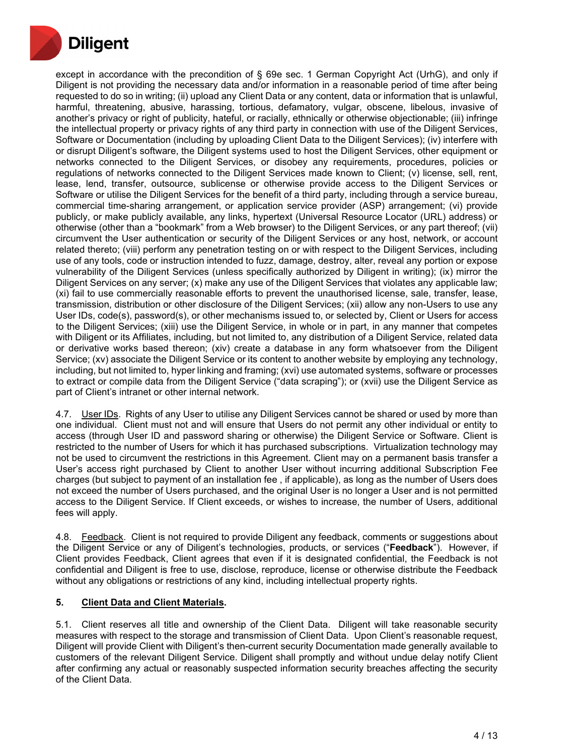

except in accordance with the precondition of § 69e sec. 1 German Copyright Act (UrhG), and only if Diligent is not providing the necessary data and/or information in a reasonable period of time after being requested to do so in writing; (ii) upload any Client Data or any content, data or information that is unlawful, harmful, threatening, abusive, harassing, tortious, defamatory, vulgar, obscene, libelous, invasive of another's privacy or right of publicity, hateful, or racially, ethnically or otherwise objectionable; (iii) infringe the intellectual property or privacy rights of any third party in connection with use of the Diligent Services, Software or Documentation (including by uploading Client Data to the Diligent Services); (iv) interfere with or disrupt Diligent's software, the Diligent systems used to host the Diligent Services, other equipment or networks connected to the Diligent Services, or disobey any requirements, procedures, policies or regulations of networks connected to the Diligent Services made known to Client; (v) license, sell, rent, lease, lend, transfer, outsource, sublicense or otherwise provide access to the Diligent Services or Software or utilise the Diligent Services for the benefit of a third party, including through a service bureau, commercial time-sharing arrangement, or application service provider (ASP) arrangement; (vi) provide publicly, or make publicly available, any links, hypertext (Universal Resource Locator (URL) address) or otherwise (other than a "bookmark" from a Web browser) to the Diligent Services, or any part thereof; (vii) circumvent the User authentication or security of the Diligent Services or any host, network, or account related thereto; (viii) perform any penetration testing on or with respect to the Diligent Services, including use of any tools, code or instruction intended to fuzz, damage, destroy, alter, reveal any portion or expose vulnerability of the Diligent Services (unless specifically authorized by Diligent in writing); (ix) mirror the Diligent Services on any server; (x) make any use of the Diligent Services that violates any applicable law; (xi) fail to use commercially reasonable efforts to prevent the unauthorised license, sale, transfer, lease, transmission, distribution or other disclosure of the Diligent Services; (xii) allow any non-Users to use any User IDs, code(s), password(s), or other mechanisms issued to, or selected by, Client or Users for access to the Diligent Services; (xiii) use the Diligent Service, in whole or in part, in any manner that competes with Diligent or its Affiliates, including, but not limited to, any distribution of a Diligent Service, related data or derivative works based thereon; (xiv) create a database in any form whatsoever from the Diligent Service; (xv) associate the Diligent Service or its content to another website by employing any technology, including, but not limited to, hyper linking and framing; (xvi) use automated systems, software or processes to extract or compile data from the Diligent Service ("data scraping"); or (xvii) use the Diligent Service as part of Client's intranet or other internal network.

4.7. User IDs. Rights of any User to utilise any Diligent Services cannot be shared or used by more than one individual. Client must not and will ensure that Users do not permit any other individual or entity to access (through User ID and password sharing or otherwise) the Diligent Service or Software. Client is restricted to the number of Users for which it has purchased subscriptions. Virtualization technology may not be used to circumvent the restrictions in this Agreement. Client may on a permanent basis transfer a User's access right purchased by Client to another User without incurring additional Subscription Fee charges (but subject to payment of an installation fee , if applicable), as long as the number of Users does not exceed the number of Users purchased, and the original User is no longer a User and is not permitted access to the Diligent Service. If Client exceeds, or wishes to increase, the number of Users, additional fees will apply.

4.8. Feedback. Client is not required to provide Diligent any feedback, comments or suggestions about the Diligent Service or any of Diligent's technologies, products, or services ("**Feedback**"). However, if Client provides Feedback, Client agrees that even if it is designated confidential, the Feedback is not confidential and Diligent is free to use, disclose, reproduce, license or otherwise distribute the Feedback without any obligations or restrictions of any kind, including intellectual property rights.

## **5. Client Data and Client Materials.**

5.1. Client reserves all title and ownership of the Client Data. Diligent will take reasonable security measures with respect to the storage and transmission of Client Data. Upon Client's reasonable request, Diligent will provide Client with Diligent's then-current security Documentation made generally available to customers of the relevant Diligent Service. Diligent shall promptly and without undue delay notify Client after confirming any actual or reasonably suspected information security breaches affecting the security of the Client Data.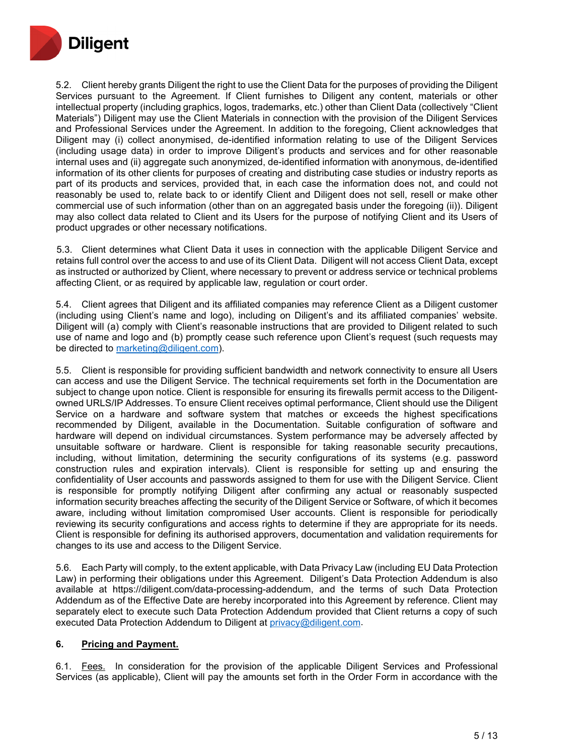

5.2. Client hereby grants Diligent the right to use the Client Data for the purposes of providing the Diligent Services pursuant to the Agreement. If Client furnishes to Diligent any content, materials or other intellectual property (including graphics, logos, trademarks, etc.) other than Client Data (collectively "Client Materials") Diligent may use the Client Materials in connection with the provision of the Diligent Services and Professional Services under the Agreement. In addition to the foregoing, Client acknowledges that Diligent may (i) collect anonymised, de-identified information relating to use of the Diligent Services (including usage data) in order to improve Diligent's products and services and for other reasonable internal uses and (ii) aggregate such anonymized, de-identified information with anonymous, de-identified information of its other clients for purposes of creating and distributing case studies or industry reports as part of its products and services, provided that, in each case the information does not, and could not reasonably be used to, relate back to or identify Client and Diligent does not sell, resell or make other commercial use of such information (other than on an aggregated basis under the foregoing (ii)). Diligent may also collect data related to Client and its Users for the purpose of notifying Client and its Users of product upgrades or other necessary notifications.

5.3. Client determines what Client Data it uses in connection with the applicable Diligent Service and retains full control over the access to and use of its Client Data. Diligent will not access Client Data, except as instructed or authorized by Client, where necessary to prevent or address service or technical problems affecting Client, or as required by applicable law, regulation or court order.

5.4. Client agrees that Diligent and its affiliated companies may reference Client as a Diligent customer (including using Client's name and logo), including on Diligent's and its affiliated companies' website. Diligent will (a) comply with Client's reasonable instructions that are provided to Diligent related to such use of name and logo and (b) promptly cease such reference upon Client's request (such requests may be directed to [marketing@diligent.com\)](mailto:marketing@diligent.com).

5.5. Client is responsible for providing sufficient bandwidth and network connectivity to ensure all Users can access and use the Diligent Service. The technical requirements set forth in the Documentation are subject to change upon notice. Client is responsible for ensuring its firewalls permit access to the Diligentowned URLS/IP Addresses. To ensure Client receives optimal performance, Client should use the Diligent Service on a hardware and software system that matches or exceeds the highest specifications recommended by Diligent, available in the Documentation. Suitable configuration of software and hardware will depend on individual circumstances. System performance may be adversely affected by unsuitable software or hardware. Client is responsible for taking reasonable security precautions, including, without limitation, determining the security configurations of its systems (e.g. password construction rules and expiration intervals). Client is responsible for setting up and ensuring the confidentiality of User accounts and passwords assigned to them for use with the Diligent Service. Client is responsible for promptly notifying Diligent after confirming any actual or reasonably suspected information security breaches affecting the security of the Diligent Service or Software, of which it becomes aware, including without limitation compromised User accounts. Client is responsible for periodically reviewing its security configurations and access rights to determine if they are appropriate for its needs. Client is responsible for defining its authorised approvers, documentation and validation requirements for changes to its use and access to the Diligent Service.

5.6. Each Party will comply, to the extent applicable, with Data Privacy Law (including EU Data Protection Law) in performing their obligations under this Agreement. Diligent's Data Protection Addendum is also available at https://diligent.com/data-processing-addendum, and the terms of such Data Protection Addendum as of the Effective Date are hereby incorporated into this Agreement by reference. Client may separately elect to execute such Data Protection Addendum provided that Client returns a copy of such executed Data Protection Addendum to Diligent at privacy@diligent.com.

## **6. Pricing and Payment.**

6.1. Fees. In consideration for the provision of the applicable Diligent Services and Professional Services (as applicable), Client will pay the amounts set forth in the Order Form in accordance with the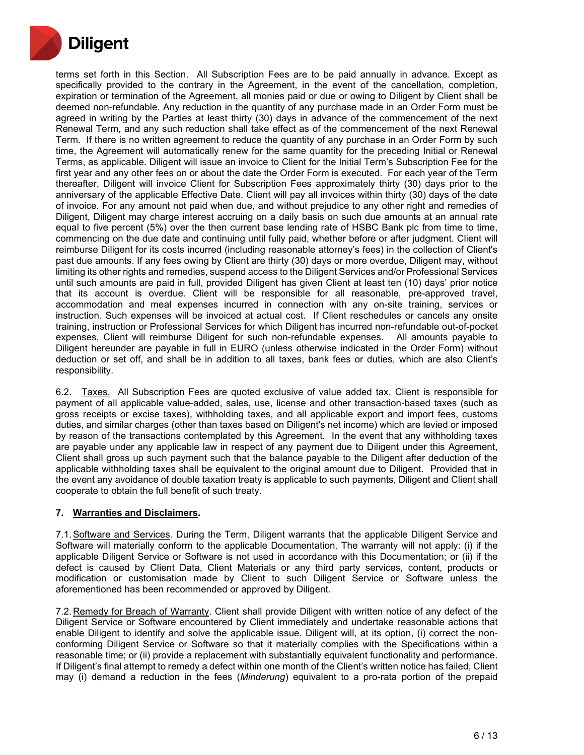

terms set forth in this Section. All Subscription Fees are to be paid annually in advance. Except as specifically provided to the contrary in the Agreement, in the event of the cancellation, completion, expiration or termination of the Agreement, all monies paid or due or owing to Diligent by Client shall be deemed non-refundable. Any reduction in the quantity of any purchase made in an Order Form must be agreed in writing by the Parties at least thirty (30) days in advance of the commencement of the next Renewal Term, and any such reduction shall take effect as of the commencement of the next Renewal Term. If there is no written agreement to reduce the quantity of any purchase in an Order Form by such time, the Agreement will automatically renew for the same quantity for the preceding Initial or Renewal Terms, as applicable. Diligent will issue an invoice to Client for the Initial Term's Subscription Fee for the first year and any other fees on or about the date the Order Form is executed. For each year of the Term thereafter, Diligent will invoice Client for Subscription Fees approximately thirty (30) days prior to the anniversary of the applicable Effective Date. Client will pay all invoices within thirty (30) days of the date of invoice. For any amount not paid when due, and without prejudice to any other right and remedies of Diligent, Diligent may charge interest accruing on a daily basis on such due amounts at an annual rate equal to five percent (5%) over the then current base lending rate of HSBC Bank plc from time to time, commencing on the due date and continuing until fully paid, whether before or after judgment. Client will reimburse Diligent for its costs incurred (including reasonable attorney's fees) in the collection of Client's past due amounts. If any fees owing by Client are thirty (30) days or more overdue, Diligent may, without limiting its other rights and remedies, suspend access to the Diligent Services and/or Professional Services until such amounts are paid in full, provided Diligent has given Client at least ten (10) days' prior notice that its account is overdue. Client will be responsible for all reasonable, pre-approved travel, accommodation and meal expenses incurred in connection with any on-site training, services or instruction. Such expenses will be invoiced at actual cost. If Client reschedules or cancels any onsite training, instruction or Professional Services for which Diligent has incurred non-refundable out-of-pocket expenses, Client will reimburse Diligent for such non-refundable expenses. All amounts payable to Diligent hereunder are payable in full in EURO (unless otherwise indicated in the Order Form) without deduction or set off, and shall be in addition to all taxes, bank fees or duties, which are also Client's responsibility.

6.2. Taxes. All Subscription Fees are quoted exclusive of value added tax. Client is responsible for payment of all applicable value-added, sales, use, license and other transaction-based taxes (such as gross receipts or excise taxes), withholding taxes, and all applicable export and import fees, customs duties, and similar charges (other than taxes based on Diligent's net income) which are levied or imposed by reason of the transactions contemplated by this Agreement. In the event that any withholding taxes are payable under any applicable law in respect of any payment due to Diligent under this Agreement, Client shall gross up such payment such that the balance payable to the Diligent after deduction of the applicable withholding taxes shall be equivalent to the original amount due to Diligent. Provided that in the event any avoidance of double taxation treaty is applicable to such payments, Diligent and Client shall cooperate to obtain the full benefit of such treaty.

## **7. Warranties and Disclaimers.**

7.1. Software and Services. During the Term, Diligent warrants that the applicable Diligent Service and Software will materially conform to the applicable Documentation. The warranty will not apply: (i) if the applicable Diligent Service or Software is not used in accordance with this Documentation; or (ii) if the defect is caused by Client Data, Client Materials or any third party services, content, products or modification or customisation made by Client to such Diligent Service or Software unless the aforementioned has been recommended or approved by Diligent.

7.2. Remedy for Breach of Warranty. Client shall provide Diligent with written notice of any defect of the Diligent Service or Software encountered by Client immediately and undertake reasonable actions that enable Diligent to identify and solve the applicable issue. Diligent will, at its option, (i) correct the nonconforming Diligent Service or Software so that it materially complies with the Specifications within a reasonable time; or (ii) provide a replacement with substantially equivalent functionality and performance. If Diligent's final attempt to remedy a defect within one month of the Client's written notice has failed, Client may (i) demand a reduction in the fees (*Minderung*) equivalent to a pro-rata portion of the prepaid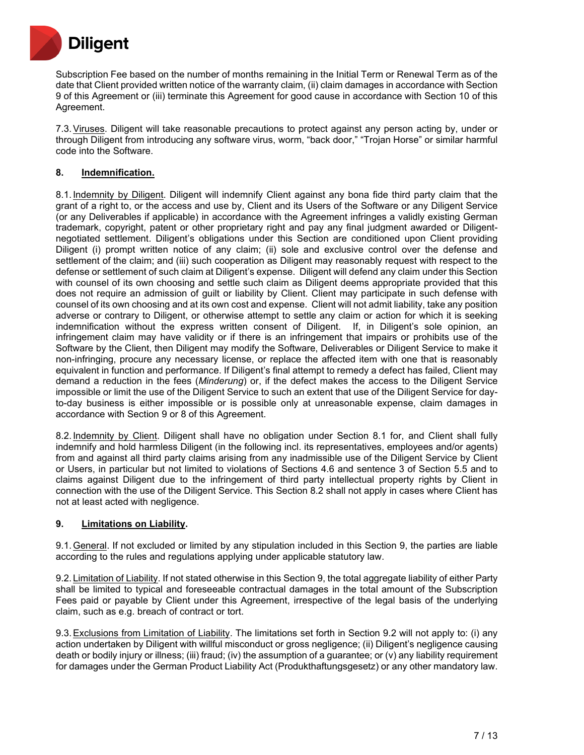

Subscription Fee based on the number of months remaining in the Initial Term or Renewal Term as of the date that Client provided written notice of the warranty claim, (ii) claim damages in accordance with Section 9 of this Agreement or (iii) terminate this Agreement for good cause in accordance with Section 10 of this Agreement.

7.3.Viruses. Diligent will take reasonable precautions to protect against any person acting by, under or through Diligent from introducing any software virus, worm, "back door," "Trojan Horse" or similar harmful code into the Software.

## **8. Indemnification.**

8.1. Indemnity by Diligent. Diligent will indemnify Client against any bona fide third party claim that the grant of a right to, or the access and use by, Client and its Users of the Software or any Diligent Service (or any Deliverables if applicable) in accordance with the Agreement infringes a validly existing German trademark, copyright, patent or other proprietary right and pay any final judgment awarded or Diligentnegotiated settlement. Diligent's obligations under this Section are conditioned upon Client providing Diligent (i) prompt written notice of any claim; (ii) sole and exclusive control over the defense and settlement of the claim; and (iii) such cooperation as Diligent may reasonably request with respect to the defense or settlement of such claim at Diligent's expense. Diligent will defend any claim under this Section with counsel of its own choosing and settle such claim as Diligent deems appropriate provided that this does not require an admission of guilt or liability by Client. Client may participate in such defense with counsel of its own choosing and at its own cost and expense. Client will not admit liability, take any position adverse or contrary to Diligent, or otherwise attempt to settle any claim or action for which it is seeking indemnification without the express written consent of Diligent. If, in Diligent's sole opinion, an infringement claim may have validity or if there is an infringement that impairs or prohibits use of the Software by the Client, then Diligent may modify the Software, Deliverables or Diligent Service to make it non-infringing, procure any necessary license, or replace the affected item with one that is reasonably equivalent in function and performance. If Diligent's final attempt to remedy a defect has failed, Client may demand a reduction in the fees (*Minderung*) or, if the defect makes the access to the Diligent Service impossible or limit the use of the Diligent Service to such an extent that use of the Diligent Service for dayto-day business is either impossible or is possible only at unreasonable expense, claim damages in accordance with Section 9 or 8 of this Agreement.

8.2. Indemnity by Client. Diligent shall have no obligation under Section 8.1 for, and Client shall fully indemnify and hold harmless Diligent (in the following incl. its representatives, employees and/or agents) from and against all third party claims arising from any inadmissible use of the Diligent Service by Client or Users, in particular but not limited to violations of Sections 4.6 and sentence 3 of Section 5.5 and to claims against Diligent due to the infringement of third party intellectual property rights by Client in connection with the use of the Diligent Service. This Section 8.2 shall not apply in cases where Client has not at least acted with negligence.

## **9. Limitations on Liability.**

9.1.General. If not excluded or limited by any stipulation included in this Section 9, the parties are liable according to the rules and regulations applying under applicable statutory law.

9.2. Limitation of Liability. If not stated otherwise in this Section 9, the total aggregate liability of either Party shall be limited to typical and foreseeable contractual damages in the total amount of the Subscription Fees paid or payable by Client under this Agreement, irrespective of the legal basis of the underlying claim, such as e.g. breach of contract or tort.

9.3.Exclusions from Limitation of Liability. The limitations set forth in Section 9.2 will not apply to: (i) any action undertaken by Diligent with willful misconduct or gross negligence; (ii) Diligent's negligence causing death or bodily injury or illness; (iii) fraud; (iv) the assumption of a guarantee; or (v) any liability requirement for damages under the German Product Liability Act (Produkthaftungsgesetz) or any other mandatory law.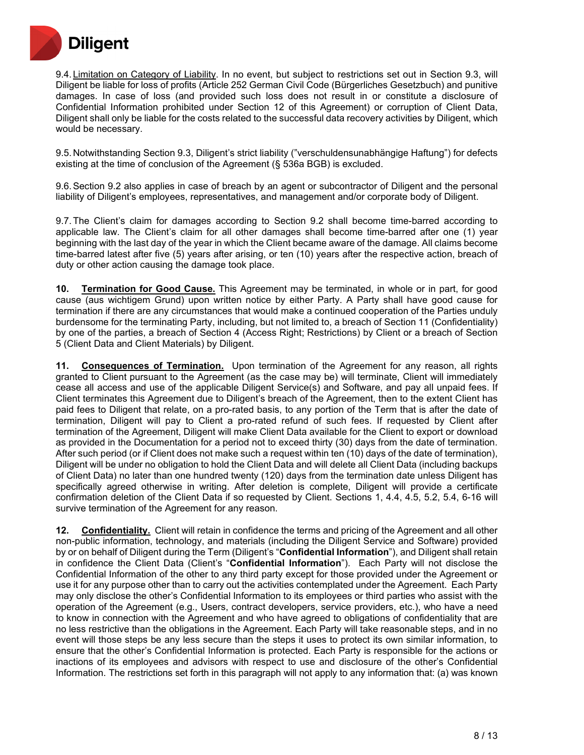

9.4. Limitation on Category of Liability. In no event, but subject to restrictions set out in Section 9.3, will Diligent be liable for loss of profits (Article 252 German Civil Code (Bürgerliches Gesetzbuch) and punitive damages. In case of loss (and provided such loss does not result in or constitute a disclosure of Confidential Information prohibited under Section 12 of this Agreement) or corruption of Client Data, Diligent shall only be liable for the costs related to the successful data recovery activities by Diligent, which would be necessary.

9.5. Notwithstanding Section 9.3, Diligent's strict liability ("verschuldensunabhängige Haftung") for defects existing at the time of conclusion of the Agreement (§ 536a BGB) is excluded.

9.6.Section 9.2 also applies in case of breach by an agent or subcontractor of Diligent and the personal liability of Diligent's employees, representatives, and management and/or corporate body of Diligent.

9.7.The Client's claim for damages according to Section 9.2 shall become time-barred according to applicable law. The Client's claim for all other damages shall become time-barred after one (1) year beginning with the last day of the year in which the Client became aware of the damage. All claims become time-barred latest after five (5) years after arising, or ten (10) years after the respective action, breach of duty or other action causing the damage took place.

**10. Termination for Good Cause.** This Agreement may be terminated, in whole or in part, for good cause (aus wichtigem Grund) upon written notice by either Party. A Party shall have good cause for termination if there are any circumstances that would make a continued cooperation of the Parties unduly burdensome for the terminating Party, including, but not limited to, a breach of Section 11 (Confidentiality) by one of the parties, a breach of Section 4 (Access Right; Restrictions) by Client or a breach of Section 5 (Client Data and Client Materials) by Diligent.

**11. Consequences of Termination.** Upon termination of the Agreement for any reason, all rights granted to Client pursuant to the Agreement (as the case may be) will terminate, Client will immediately cease all access and use of the applicable Diligent Service(s) and Software, and pay all unpaid fees. If Client terminates this Agreement due to Diligent's breach of the Agreement, then to the extent Client has paid fees to Diligent that relate, on a pro-rated basis, to any portion of the Term that is after the date of termination, Diligent will pay to Client a pro-rated refund of such fees. If requested by Client after termination of the Agreement, Diligent will make Client Data available for the Client to export or download as provided in the Documentation for a period not to exceed thirty (30) days from the date of termination. After such period (or if Client does not make such a request within ten (10) days of the date of termination), Diligent will be under no obligation to hold the Client Data and will delete all Client Data (including backups of Client Data) no later than one hundred twenty (120) days from the termination date unless Diligent has specifically agreed otherwise in writing. After deletion is complete, Diligent will provide a certificate confirmation deletion of the Client Data if so requested by Client. Sections 1, 4.4, 4.5, 5.2, 5.4, 6-16 will survive termination of the Agreement for any reason.

**12. Confidentiality.** Client will retain in confidence the terms and pricing of the Agreement and all other non-public information, technology, and materials (including the Diligent Service and Software) provided by or on behalf of Diligent during the Term (Diligent's "**Confidential Information**"), and Diligent shall retain in confidence the Client Data (Client's "**Confidential Information**"). Each Party will not disclose the Confidential Information of the other to any third party except for those provided under the Agreement or use it for any purpose other than to carry out the activities contemplated under the Agreement. Each Party may only disclose the other's Confidential Information to its employees or third parties who assist with the operation of the Agreement (e.g., Users, contract developers, service providers, etc.), who have a need to know in connection with the Agreement and who have agreed to obligations of confidentiality that are no less restrictive than the obligations in the Agreement. Each Party will take reasonable steps, and in no event will those steps be any less secure than the steps it uses to protect its own similar information, to ensure that the other's Confidential Information is protected. Each Party is responsible for the actions or inactions of its employees and advisors with respect to use and disclosure of the other's Confidential Information. The restrictions set forth in this paragraph will not apply to any information that: (a) was known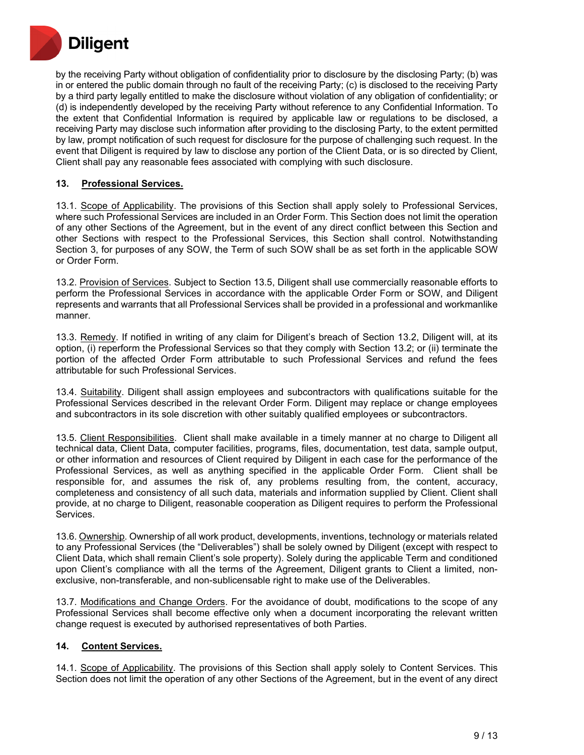

by the receiving Party without obligation of confidentiality prior to disclosure by the disclosing Party; (b) was in or entered the public domain through no fault of the receiving Party; (c) is disclosed to the receiving Party by a third party legally entitled to make the disclosure without violation of any obligation of confidentiality; or (d) is independently developed by the receiving Party without reference to any Confidential Information. To the extent that Confidential Information is required by applicable law or regulations to be disclosed, a receiving Party may disclose such information after providing to the disclosing Party, to the extent permitted by law, prompt notification of such request for disclosure for the purpose of challenging such request. In the event that Diligent is required by law to disclose any portion of the Client Data, or is so directed by Client, Client shall pay any reasonable fees associated with complying with such disclosure.

## **13. Professional Services.**

13.1. Scope of Applicability. The provisions of this Section shall apply solely to Professional Services, where such Professional Services are included in an Order Form. This Section does not limit the operation of any other Sections of the Agreement, but in the event of any direct conflict between this Section and other Sections with respect to the Professional Services, this Section shall control. Notwithstanding Section 3, for purposes of any SOW, the Term of such SOW shall be as set forth in the applicable SOW or Order Form.

13.2. Provision of Services. Subject to Section 13.5, Diligent shall use commercially reasonable efforts to perform the Professional Services in accordance with the applicable Order Form or SOW, and Diligent represents and warrants that all Professional Services shall be provided in a professional and workmanlike manner.

13.3. Remedy. If notified in writing of any claim for Diligent's breach of Section 13.2, Diligent will, at its option, (i) reperform the Professional Services so that they comply with Section 13.2; or (ii) terminate the portion of the affected Order Form attributable to such Professional Services and refund the fees attributable for such Professional Services.

13.4. Suitability. Diligent shall assign employees and subcontractors with qualifications suitable for the Professional Services described in the relevant Order Form. Diligent may replace or change employees and subcontractors in its sole discretion with other suitably qualified employees or subcontractors.

13.5. Client Responsibilities. Client shall make available in a timely manner at no charge to Diligent all technical data, Client Data, computer facilities, programs, files, documentation, test data, sample output, or other information and resources of Client required by Diligent in each case for the performance of the Professional Services, as well as anything specified in the applicable Order Form. Client shall be responsible for, and assumes the risk of, any problems resulting from, the content, accuracy, completeness and consistency of all such data, materials and information supplied by Client. Client shall provide, at no charge to Diligent, reasonable cooperation as Diligent requires to perform the Professional Services.

13.6. Ownership. Ownership of all work product, developments, inventions, technology or materials related to any Professional Services (the "Deliverables") shall be solely owned by Diligent (except with respect to Client Data, which shall remain Client's sole property). Solely during the applicable Term and conditioned upon Client's compliance with all the terms of the Agreement, Diligent grants to Client a limited, nonexclusive, non-transferable, and non-sublicensable right to make use of the Deliverables.

13.7. Modifications and Change Orders. For the avoidance of doubt, modifications to the scope of any Professional Services shall become effective only when a document incorporating the relevant written change request is executed by authorised representatives of both Parties.

#### **14. Content Services.**

14.1. Scope of Applicability. The provisions of this Section shall apply solely to Content Services. This Section does not limit the operation of any other Sections of the Agreement, but in the event of any direct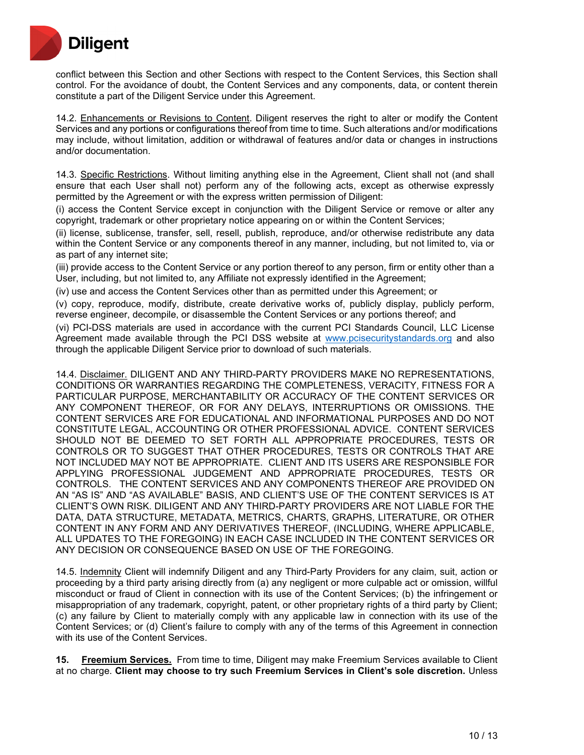

conflict between this Section and other Sections with respect to the Content Services, this Section shall control. For the avoidance of doubt, the Content Services and any components, data, or content therein constitute a part of the Diligent Service under this Agreement.

14.2. Enhancements or Revisions to Content. Diligent reserves the right to alter or modify the Content Services and any portions or configurations thereof from time to time. Such alterations and/or modifications may include, without limitation, addition or withdrawal of features and/or data or changes in instructions and/or documentation.

14.3. Specific Restrictions. Without limiting anything else in the Agreement, Client shall not (and shall ensure that each User shall not) perform any of the following acts, except as otherwise expressly permitted by the Agreement or with the express written permission of Diligent:

(i) access the Content Service except in conjunction with the Diligent Service or remove or alter any copyright, trademark or other proprietary notice appearing on or within the Content Services;

(ii) license, sublicense, transfer, sell, resell, publish, reproduce, and/or otherwise redistribute any data within the Content Service or any components thereof in any manner, including, but not limited to, via or as part of any internet site;

(iii) provide access to the Content Service or any portion thereof to any person, firm or entity other than a User, including, but not limited to, any Affiliate not expressly identified in the Agreement;

(iv) use and access the Content Services other than as permitted under this Agreement; or

(v) copy, reproduce, modify, distribute, create derivative works of, publicly display, publicly perform, reverse engineer, decompile, or disassemble the Content Services or any portions thereof; and

(vi) PCI-DSS materials are used in accordance with the current PCI Standards Council, LLC License Agreement made available through the PCI DSS website at [www.pcisecuritystandards.org](http://www.pcisecuritystandards.org/) and also through the applicable Diligent Service prior to download of such materials.

14.4. Disclaimer. DILIGENT AND ANY THIRD-PARTY PROVIDERS MAKE NO REPRESENTATIONS, CONDITIONS OR WARRANTIES REGARDING THE COMPLETENESS, VERACITY, FITNESS FOR A PARTICULAR PURPOSE, MERCHANTABILITY OR ACCURACY OF THE CONTENT SERVICES OR ANY COMPONENT THEREOF, OR FOR ANY DELAYS, INTERRUPTIONS OR OMISSIONS. THE CONTENT SERVICES ARE FOR EDUCATIONAL AND INFORMATIONAL PURPOSES AND DO NOT CONSTITUTE LEGAL, ACCOUNTING OR OTHER PROFESSIONAL ADVICE. CONTENT SERVICES SHOULD NOT BE DEEMED TO SET FORTH ALL APPROPRIATE PROCEDURES, TESTS OR CONTROLS OR TO SUGGEST THAT OTHER PROCEDURES, TESTS OR CONTROLS THAT ARE NOT INCLUDED MAY NOT BE APPROPRIATE. CLIENT AND ITS USERS ARE RESPONSIBLE FOR APPLYING PROFESSIONAL JUDGEMENT AND APPROPRIATE PROCEDURES, TESTS OR CONTROLS. THE CONTENT SERVICES AND ANY COMPONENTS THEREOF ARE PROVIDED ON AN "AS IS" AND "AS AVAILABLE" BASIS, AND CLIENT'S USE OF THE CONTENT SERVICES IS AT CLIENT'S OWN RISK. DILIGENT AND ANY THIRD-PARTY PROVIDERS ARE NOT LIABLE FOR THE DATA, DATA STRUCTURE, METADATA, METRICS, CHARTS, GRAPHS, LITERATURE, OR OTHER CONTENT IN ANY FORM AND ANY DERIVATIVES THEREOF, (INCLUDING, WHERE APPLICABLE, ALL UPDATES TO THE FOREGOING) IN EACH CASE INCLUDED IN THE CONTENT SERVICES OR ANY DECISION OR CONSEQUENCE BASED ON USE OF THE FOREGOING.

14.5. Indemnity Client will indemnify Diligent and any Third-Party Providers for any claim, suit, action or proceeding by a third party arising directly from (a) any negligent or more culpable act or omission, willful misconduct or fraud of Client in connection with its use of the Content Services; (b) the infringement or misappropriation of any trademark, copyright, patent, or other proprietary rights of a third party by Client; (c) any failure by Client to materially comply with any applicable law in connection with its use of the Content Services; or (d) Client's failure to comply with any of the terms of this Agreement in connection with its use of the Content Services.

**15. Freemium Services.** From time to time, Diligent may make Freemium Services available to Client at no charge. **Client may choose to try such Freemium Services in Client's sole discretion.** Unless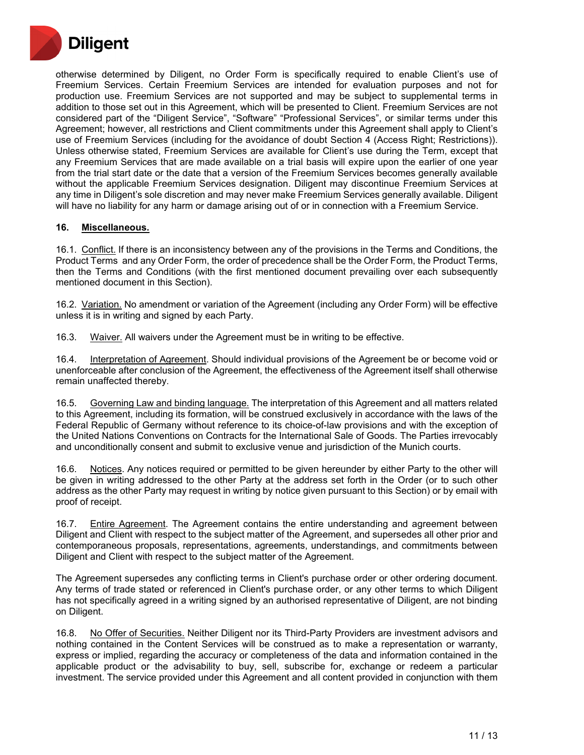

otherwise determined by Diligent, no Order Form is specifically required to enable Client's use of Freemium Services. Certain Freemium Services are intended for evaluation purposes and not for production use. Freemium Services are not supported and may be subject to supplemental terms in addition to those set out in this Agreement, which will be presented to Client. Freemium Services are not considered part of the "Diligent Service", "Software" "Professional Services", or similar terms under this Agreement; however, all restrictions and Client commitments under this Agreement shall apply to Client's use of Freemium Services (including for the avoidance of doubt Section 4 (Access Right; Restrictions)). Unless otherwise stated, Freemium Services are available for Client's use during the Term, except that any Freemium Services that are made available on a trial basis will expire upon the earlier of one year from the trial start date or the date that a version of the Freemium Services becomes generally available without the applicable Freemium Services designation. Diligent may discontinue Freemium Services at any time in Diligent's sole discretion and may never make Freemium Services generally available. Diligent will have no liability for any harm or damage arising out of or in connection with a Freemium Service.

## **16. Miscellaneous.**

16.1. Conflict. If there is an inconsistency between any of the provisions in the Terms and Conditions, the Product Terms and any Order Form, the order of precedence shall be the Order Form, the Product Terms, then the Terms and Conditions (with the first mentioned document prevailing over each subsequently mentioned document in this Section).

16.2. Variation. No amendment or variation of the Agreement (including any Order Form) will be effective unless it is in writing and signed by each Party.

16.3. Waiver. All waivers under the Agreement must be in writing to be effective.

16.4. Interpretation of Agreement. Should individual provisions of the Agreement be or become void or unenforceable after conclusion of the Agreement, the effectiveness of the Agreement itself shall otherwise remain unaffected thereby.

16.5. Governing Law and binding language. The interpretation of this Agreement and all matters related to this Agreement, including its formation, will be construed exclusively in accordance with the laws of the Federal Republic of Germany without reference to its choice-of-law provisions and with the exception of the United Nations Conventions on Contracts for the International Sale of Goods. The Parties irrevocably and unconditionally consent and submit to exclusive venue and jurisdiction of the Munich courts.

16.6. Notices. Any notices required or permitted to be given hereunder by either Party to the other will be given in writing addressed to the other Party at the address set forth in the Order (or to such other address as the other Party may request in writing by notice given pursuant to this Section) or by email with proof of receipt.

16.7. Entire Agreement. The Agreement contains the entire understanding and agreement between Diligent and Client with respect to the subject matter of the Agreement, and supersedes all other prior and contemporaneous proposals, representations, agreements, understandings, and commitments between Diligent and Client with respect to the subject matter of the Agreement.

The Agreement supersedes any conflicting terms in Client's purchase order or other ordering document. Any terms of trade stated or referenced in Client's purchase order, or any other terms to which Diligent has not specifically agreed in a writing signed by an authorised representative of Diligent, are not binding on Diligent.

16.8. No Offer of Securities. Neither Diligent nor its Third-Party Providers are investment advisors and nothing contained in the Content Services will be construed as to make a representation or warranty, express or implied, regarding the accuracy or completeness of the data and information contained in the applicable product or the advisability to buy, sell, subscribe for, exchange or redeem a particular investment. The service provided under this Agreement and all content provided in conjunction with them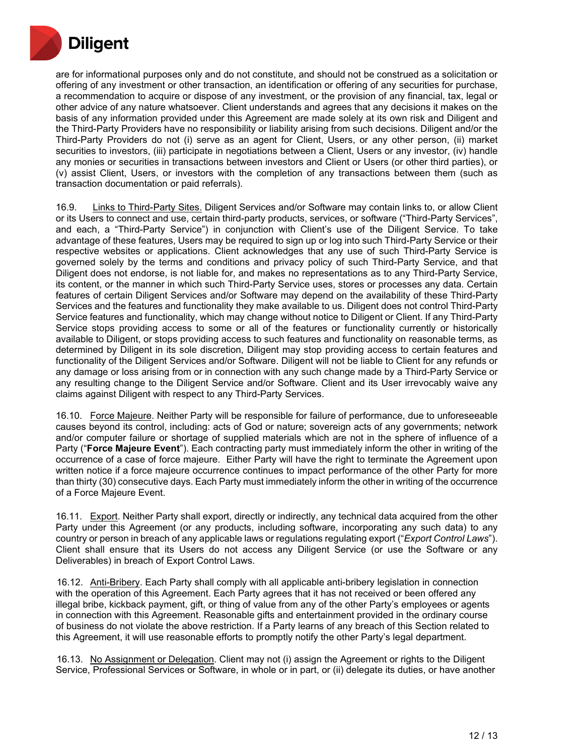

are for informational purposes only and do not constitute, and should not be construed as a solicitation or offering of any investment or other transaction, an identification or offering of any securities for purchase, a recommendation to acquire or dispose of any investment, or the provision of any financial, tax, legal or other advice of any nature whatsoever. Client understands and agrees that any decisions it makes on the basis of any information provided under this Agreement are made solely at its own risk and Diligent and the Third-Party Providers have no responsibility or liability arising from such decisions. Diligent and/or the Third-Party Providers do not (i) serve as an agent for Client, Users, or any other person, (ii) market securities to investors, (iii) participate in negotiations between a Client, Users or any investor, (iv) handle any monies or securities in transactions between investors and Client or Users (or other third parties), or (v) assist Client, Users, or investors with the completion of any transactions between them (such as transaction documentation or paid referrals).

16.9. Links to Third-Party Sites. Diligent Services and/or Software may contain links to, or allow Client or its Users to connect and use, certain third-party products, services, or software ("Third-Party Services", and each, a "Third-Party Service") in conjunction with Client's use of the Diligent Service. To take advantage of these features, Users may be required to sign up or log into such Third-Party Service or their respective websites or applications. Client acknowledges that any use of such Third-Party Service is governed solely by the terms and conditions and privacy policy of such Third-Party Service, and that Diligent does not endorse, is not liable for, and makes no representations as to any Third-Party Service, its content, or the manner in which such Third-Party Service uses, stores or processes any data. Certain features of certain Diligent Services and/or Software may depend on the availability of these Third-Party Services and the features and functionality they make available to us. Diligent does not control Third-Party Service features and functionality, which may change without notice to Diligent or Client. If any Third-Party Service stops providing access to some or all of the features or functionality currently or historically available to Diligent, or stops providing access to such features and functionality on reasonable terms, as determined by Diligent in its sole discretion, Diligent may stop providing access to certain features and functionality of the Diligent Services and/or Software. Diligent will not be liable to Client for any refunds or any damage or loss arising from or in connection with any such change made by a Third-Party Service or any resulting change to the Diligent Service and/or Software. Client and its User irrevocably waive any claims against Diligent with respect to any Third-Party Services.

16.10. Force Majeure. Neither Party will be responsible for failure of performance, due to unforeseeable causes beyond its control, including: acts of God or nature; sovereign acts of any governments; network and/or computer failure or shortage of supplied materials which are not in the sphere of influence of a Party ("**Force Majeure Event**"). Each contracting party must immediately inform the other in writing of the occurrence of a case of force majeure. Either Party will have the right to terminate the Agreement upon written notice if a force majeure occurrence continues to impact performance of the other Party for more than thirty (30) consecutive days. Each Party must immediately inform the other in writing of the occurrence of a Force Majeure Event.

16.11. Export. Neither Party shall export, directly or indirectly, any technical data acquired from the other Party under this Agreement (or any products, including software, incorporating any such data) to any country or person in breach of any applicable laws or regulations regulating export ("*Export Control Laws*"). Client shall ensure that its Users do not access any Diligent Service (or use the Software or any Deliverables) in breach of Export Control Laws.

16.12. Anti-Bribery. Each Party shall comply with all applicable anti-bribery legislation in connection with the operation of this Agreement. Each Party agrees that it has not received or been offered any illegal bribe, kickback payment, gift, or thing of value from any of the other Party's employees or agents in connection with this Agreement. Reasonable gifts and entertainment provided in the ordinary course of business do not violate the above restriction. If a Party learns of any breach of this Section related to this Agreement, it will use reasonable efforts to promptly notify the other Party's legal department.

16.13. No Assignment or Delegation. Client may not (i) assign the Agreement or rights to the Diligent Service, Professional Services or Software, in whole or in part, or (ii) delegate its duties, or have another